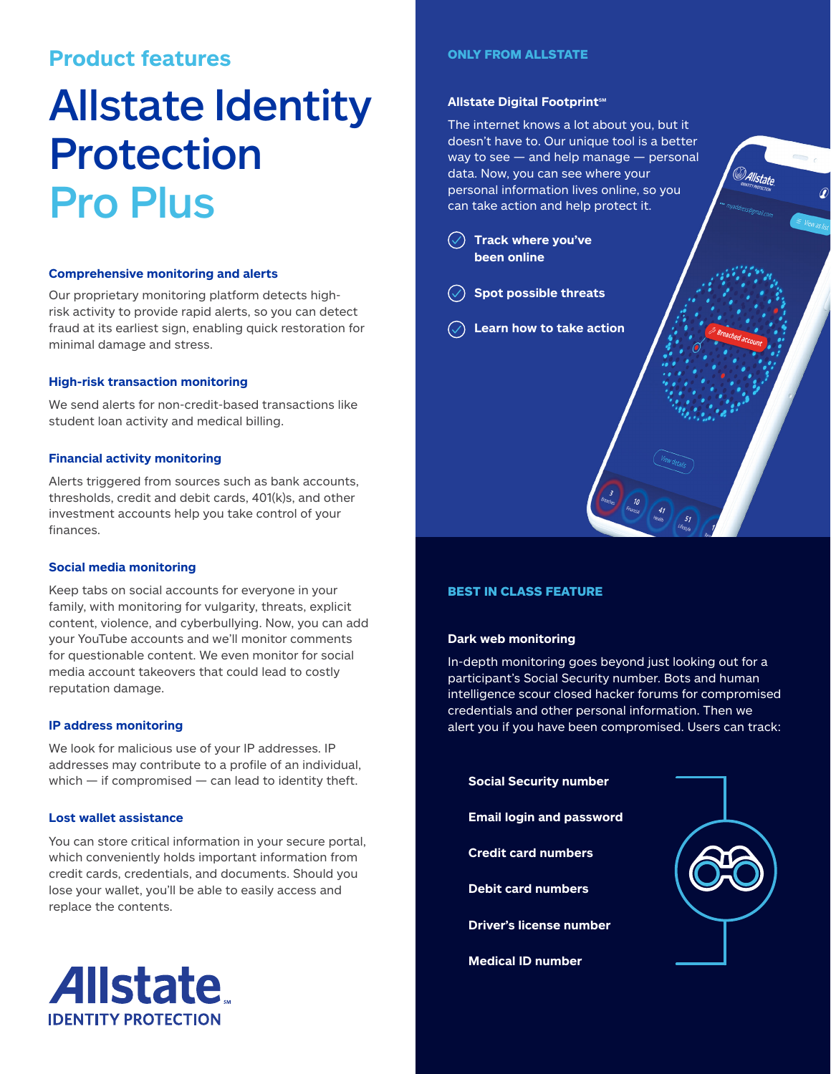## **Product features**

# Allstate Identity Protection Pro Plus

#### **Comprehensive monitoring and alerts**

Our proprietary monitoring platform detects highrisk activity to provide rapid alerts, so you can detect fraud at its earliest sign, enabling quick restoration for minimal damage and stress.

#### **High-risk transaction monitoring**

We send alerts for non-credit-based transactions like student loan activity and medical billing.

#### **Financial activity monitoring**

Alerts triggered from sources such as bank accounts, thresholds, credit and debit cards, 401(k)s, and other investment accounts help you take control of your finances.

### **Social media monitoring**

Keep tabs on social accounts for everyone in your family, with monitoring for vulgarity, threats, explicit content, violence, and cyberbullying. Now, you can add your YouTube accounts and we'll monitor comments for questionable content. We even monitor for social media account takeovers that could lead to costly reputation damage.

#### **IP address monitoring**

We look for malicious use of your IP addresses. IP addresses may contribute to a profile of an individual, which  $-$  if compromised  $-$  can lead to identity theft.

#### **Lost wallet assistance**

You can store critical information in your secure portal, which conveniently holds important information from credit cards, credentials, and documents. Should you lose your wallet, you'll be able to easily access and replace the contents.

#### ONLY FROM ALLSTATE

#### **Allstate Digital Footprint<sup>™</sup>**

The internet knows a lot about you, but it doesn't have to. Our unique tool is a better  $way to see - and help manage - personal$ data. Now, you can see where your personal information lives online, so you can take action and help protect it.

<sup>D</sup>Allstate

- **Track where you've been online**
- **Spot possible threats**
- **Learn how to take action**

### BEST IN CLASS FEATURE

#### **Dark web monitoring**

In-depth monitoring goes beyond just looking out for a participant's Social Security number. Bots and human intelligence scour closed hacker forums for compromised credentials and other personal information. Then we alert you if you have been compromised. Users can track: